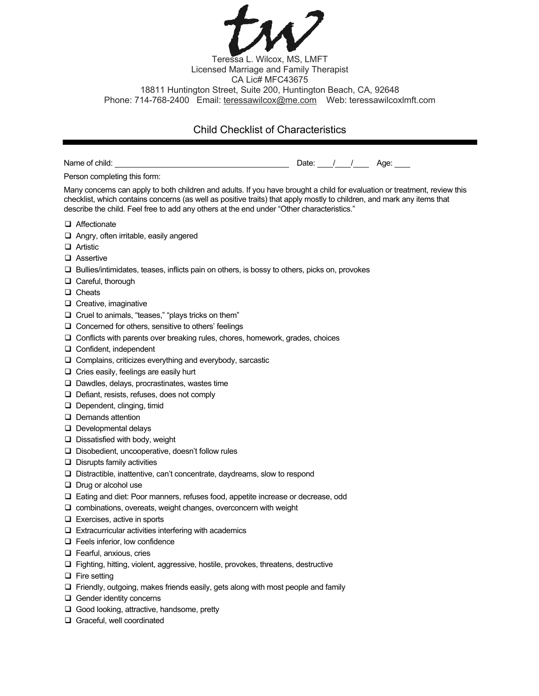Teressa L. Wilcox, MS, LMFT Licensed Marriage and Family Therapist CA Lic# MFC43675 18811 Huntington Street, Suite 200, Huntington Beach, CA, 92648 Phone: 714-768-2400 Email: teressawilcox@me.com Web: teressawilcoxlmft.com

## Child Checklist of Characteristics

|                                                                                                                                                                                                                                                                                                                                                  | Date: / / / Age: |  |  |
|--------------------------------------------------------------------------------------------------------------------------------------------------------------------------------------------------------------------------------------------------------------------------------------------------------------------------------------------------|------------------|--|--|
| Person completing this form:                                                                                                                                                                                                                                                                                                                     |                  |  |  |
| Many concerns can apply to both children and adults. If you have brought a child for evaluation or treatment, review this<br>checklist, which contains concerns (as well as positive traits) that apply mostly to children, and mark any items that<br>describe the child. Feel free to add any others at the end under "Other characteristics." |                  |  |  |
| Affectionate                                                                                                                                                                                                                                                                                                                                     |                  |  |  |
| $\Box$ Angry, often irritable, easily angered                                                                                                                                                                                                                                                                                                    |                  |  |  |
| $\Box$ Artistic                                                                                                                                                                                                                                                                                                                                  |                  |  |  |
| □ Assertive                                                                                                                                                                                                                                                                                                                                      |                  |  |  |
| $\Box$ Bullies/intimidates, teases, inflicts pain on others, is bossy to others, picks on, provokes                                                                                                                                                                                                                                              |                  |  |  |
| $\Box$ Careful, thorough                                                                                                                                                                                                                                                                                                                         |                  |  |  |
| $\Box$ Cheats                                                                                                                                                                                                                                                                                                                                    |                  |  |  |
| $\Box$ Creative, imaginative                                                                                                                                                                                                                                                                                                                     |                  |  |  |
| $\Box$ Cruel to animals, "teases," "plays tricks on them"                                                                                                                                                                                                                                                                                        |                  |  |  |
| $\Box$ Concerned for others, sensitive to others' feelings                                                                                                                                                                                                                                                                                       |                  |  |  |
| $\Box$ Conflicts with parents over breaking rules, chores, homework, grades, choices                                                                                                                                                                                                                                                             |                  |  |  |
| $\Box$ Confident, independent                                                                                                                                                                                                                                                                                                                    |                  |  |  |
| $\Box$ Complains, criticizes everything and everybody, sarcastic                                                                                                                                                                                                                                                                                 |                  |  |  |
| $\Box$ Cries easily, feelings are easily hurt                                                                                                                                                                                                                                                                                                    |                  |  |  |
| $\Box$ Dawdles, delays, procrastinates, wastes time                                                                                                                                                                                                                                                                                              |                  |  |  |
| $\Box$ Defiant, resists, refuses, does not comply                                                                                                                                                                                                                                                                                                |                  |  |  |
| Dependent, clinging, timid                                                                                                                                                                                                                                                                                                                       |                  |  |  |
| $\Box$ Demands attention                                                                                                                                                                                                                                                                                                                         |                  |  |  |
| $\Box$ Developmental delays                                                                                                                                                                                                                                                                                                                      |                  |  |  |
| $\Box$ Dissatisfied with body, weight                                                                                                                                                                                                                                                                                                            |                  |  |  |
| $\Box$ Disobedient, uncooperative, doesn't follow rules                                                                                                                                                                                                                                                                                          |                  |  |  |
| $\Box$ Disrupts family activities                                                                                                                                                                                                                                                                                                                |                  |  |  |
| $\Box$ Distractible, inattentive, can't concentrate, daydreams, slow to respond                                                                                                                                                                                                                                                                  |                  |  |  |
| $\Box$ Drug or alcohol use                                                                                                                                                                                                                                                                                                                       |                  |  |  |
| $\Box$ Eating and diet: Poor manners, refuses food, appetite increase or decrease, odd                                                                                                                                                                                                                                                           |                  |  |  |
| $\Box$ combinations, overeats, weight changes, overconcern with weight                                                                                                                                                                                                                                                                           |                  |  |  |
| $\Box$ Exercises, active in sports                                                                                                                                                                                                                                                                                                               |                  |  |  |
| $\Box$ Extracurricular activities interfering with academics                                                                                                                                                                                                                                                                                     |                  |  |  |
| $\Box$ Feels inferior, low confidence                                                                                                                                                                                                                                                                                                            |                  |  |  |
| $\Box$ Fearful, anxious, cries                                                                                                                                                                                                                                                                                                                   |                  |  |  |
| $\Box$ Fighting, hitting, violent, aggressive, hostile, provokes, threatens, destructive                                                                                                                                                                                                                                                         |                  |  |  |
| $\Box$ Fire setting                                                                                                                                                                                                                                                                                                                              |                  |  |  |
| $\Box$ Friendly, outgoing, makes friends easily, gets along with most people and family                                                                                                                                                                                                                                                          |                  |  |  |
| $\Box$ Gender identity concerns                                                                                                                                                                                                                                                                                                                  |                  |  |  |
| Good looking, attractive, handsome, pretty                                                                                                                                                                                                                                                                                                       |                  |  |  |
| Graceful, well coordinated                                                                                                                                                                                                                                                                                                                       |                  |  |  |
|                                                                                                                                                                                                                                                                                                                                                  |                  |  |  |